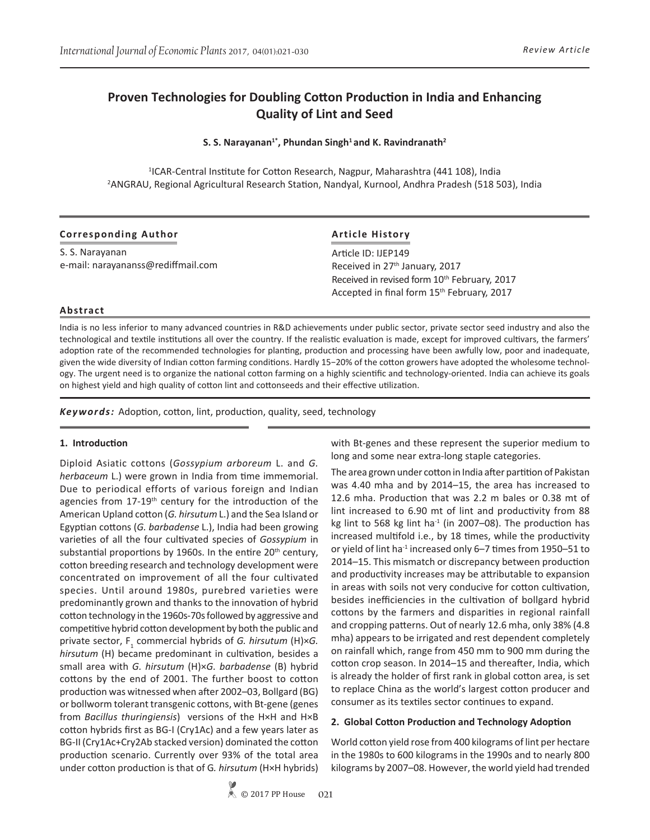# **Proven Technologies for Doubling Cotton Production in India and Enhancing Quality of Lint and Seed**

**S. S. Narayanan1\*, Phundan Singh1 and K. Ravindranath<sup>2</sup>**

<sup>1</sup>ICAR-Central Institute for Cotton Research, Nagpur, Maharashtra (441 108), India 2 ANGRAU, Regional Agricultural Research Station, Nandyal, Kurnool, Andhra Pradesh (518 503), India

### **Corresponding Author**

S. S. Narayanan e-mail: narayananss@rediffmail.com

### **Article History**

Article ID: IJEP149 Received in 27<sup>th</sup> January, 2017 Received in revised form 10<sup>th</sup> February, 2017 Accepted in final form 15<sup>th</sup> February, 2017

### **Abstract**

India is no less inferior to many advanced countries in R&D achievements under public sector, private sector seed industry and also the technological and textile institutions all over the country. If the realistic evaluation is made, except for improved cultivars, the farmers' adoption rate of the recommended technologies for planting, production and processing have been awfully low, poor and inadequate, given the wide diversity of Indian cotton farming conditions. Hardly 15−20% of the cotton growers have adopted the wholesome technology. The urgent need is to organize the national cotton farming on a highly scientific and technology-oriented. India can achieve its goals on highest yield and high quality of cotton lint and cottonseeds and their effective utilization.

*Keywords:* Adoption, cotton, lint, production, quality, seed, technology

### **1. Introduction**

Diploid Asiatic cottons (*Gossypium arboreum* L. and *G. herbaceum* L.) were grown in India from time immemorial. Due to periodical efforts of various foreign and Indian agencies from 17-19<sup>th</sup> century for the introduction of the American Upland cotton (*G. hirsutum* L.) and the Sea Island or Egyptian cottons (*G. barbadense* L.), India had been growing varieties of all the four cultivated species of *Gossypium* in substantial proportions by 1960s. In the entire  $20<sup>th</sup>$  century, cotton breeding research and technology development were concentrated on improvement of all the four cultivated species. Until around 1980s, purebred varieties were predominantly grown and thanks to the innovation of hybrid cotton technology in the 1960s-70s followed by aggressive and competitive hybrid cotton development by both the public and private sector, F<sub>1</sub> commercial hybrids of *G. hirsutum* (H)×*G. hirsutum* (H) became predominant in cultivation, besides a small area with *G. hirsutum* (H)×*G. barbadense* (B) hybrid cottons by the end of 2001. The further boost to cotton production was witnessed when after 2002–03, Bollgard (BG) or bollworm tolerant transgenic cottons, with Bt-gene (genes from *Bacillus thuringiensis*) versions of the H×H and H×B cotton hybrids first as BG-I (Cry1Ac) and a few years later as BG-II (Cry1Ac+Cry2Ab stacked version) dominated the cotton production scenario. Currently over 93% of the total area under cotton production is that of G*. hirsutum* (H×H hybrids)

with Bt-genes and these represent the superior medium to long and some near extra-long staple categories.

The area grown under cotton in India after partition of Pakistan was 4.40 mha and by 2014–15, the area has increased to 12.6 mha. Production that was 2.2 m bales or 0.38 mt of lint increased to 6.90 mt of lint and productivity from 88 kg lint to 568 kg lint ha $^{-1}$  (in 2007–08). The production has increased multifold i.e., by 18 times, while the productivity or yield of lint ha<sup>-1</sup> increased only 6-7 times from 1950-51 to 2014–15. This mismatch or discrepancy between production and productivity increases may be attributable to expansion in areas with soils not very conducive for cotton cultivation, besides inefficiencies in the cultivation of bollgard hybrid cottons by the farmers and disparities in regional rainfall and cropping patterns. Out of nearly 12.6 mha, only 38% (4.8 mha) appears to be irrigated and rest dependent completely on rainfall which, range from 450 mm to 900 mm during the cotton crop season. In 2014–15 and thereafter, India, which is already the holder of first rank in global cotton area, is set to replace China as the world's largest cotton producer and consumer as its textiles sector continues to expand.

### **2. Global Cotton Production and Technology Adoption**

World cotton yield rose from 400 kilograms of lint per hectare in the 1980s to 600 kilograms in the 1990s and to nearly 800 kilograms by 2007–08. However, the world yield had trended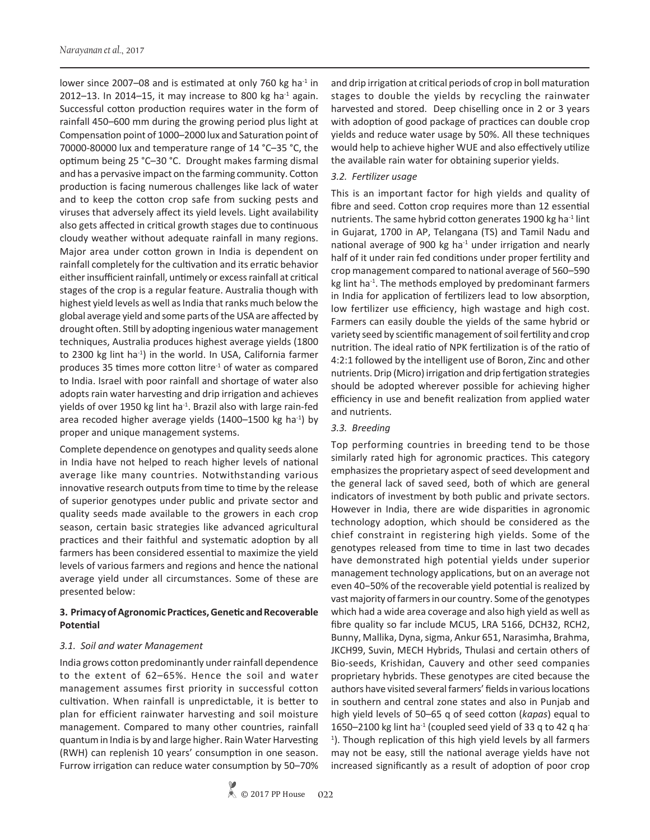lower since 2007–08 and is estimated at only 760 kg ha $^{-1}$  in 2012–13. In 2014–15, it may increase to 800 kg ha $^{-1}$  again. Successful cotton production requires water in the form of rainfall 450–600 mm during the growing period plus light at Compensation point of 1000–2000 lux and Saturation point of 70000-80000 lux and temperature range of 14 °C–35 °C, the optimum being 25 °C–30 °C. Drought makes farming dismal and has a pervasive impact on the farming community. Cotton production is facing numerous challenges like lack of water and to keep the cotton crop safe from sucking pests and viruses that adversely affect its yield levels. Light availability also gets affected in critical growth stages due to continuous cloudy weather without adequate rainfall in many regions. Major area under cotton grown in India is dependent on rainfall completely for the cultivation and its erratic behavior either insufficient rainfall, untimely or excess rainfall at critical stages of the crop is a regular feature. Australia though with highest yield levels as well as India that ranks much below the global average yield and some parts of the USA are affected by drought often. Still by adopting ingenious water management techniques, Australia produces highest average yields (1800 to 2300 kg lint ha<sup>-1</sup>) in the world. In USA, California farmer produces 35 times more cotton litre<sup>-1</sup> of water as compared to India. Israel with poor rainfall and shortage of water also adopts rain water harvesting and drip irrigation and achieves yields of over 1950 kg lint ha<sup>-1</sup>. Brazil also with large rain-fed area recoded higher average yields (1400-1500 kg ha $^{-1}$ ) by proper and unique management systems.

Complete dependence on genotypes and quality seeds alone in India have not helped to reach higher levels of national average like many countries. Notwithstanding various innovative research outputs from time to time by the release of superior genotypes under public and private sector and quality seeds made available to the growers in each crop season, certain basic strategies like advanced agricultural practices and their faithful and systematic adoption by all farmers has been considered essential to maximize the yield levels of various farmers and regions and hence the national average yield under all circumstances. Some of these are presented below:

# **3. Primacy of Agronomic Practices, Genetic and Recoverable Potential**

### *3.1. Soil and water Management*

India grows cotton predominantly under rainfall dependence to the extent of 62–65%. Hence the soil and water management assumes first priority in successful cotton cultivation. When rainfall is unpredictable, it is better to plan for efficient rainwater harvesting and soil moisture management. Compared to many other countries, rainfall quantum in India is by and large higher. Rain Water Harvesting (RWH) can replenish 10 years' consumption in one season. Furrow irrigation can reduce water consumption by 50–70%

### *3.2. Fertilizer usage*

This is an important factor for high yields and quality of fibre and seed. Cotton crop requires more than 12 essential nutrients. The same hybrid cotton generates 1900 kg ha $^{-1}$  lint in Gujarat, 1700 in AP, Telangana (TS) and Tamil Nadu and national average of 900 kg ha $1$  under irrigation and nearly half of it under rain fed conditions under proper fertility and crop management compared to national average of 560–590 kg lint ha $^{-1}$ . The methods employed by predominant farmers in India for application of fertilizers lead to low absorption, low fertilizer use efficiency, high wastage and high cost. Farmers can easily double the yields of the same hybrid or variety seed by scientific management of soil fertility and crop nutrition. The ideal ratio of NPK fertilization is of the ratio of 4:2:1 followed by the intelligent use of Boron, Zinc and other nutrients. Drip (Micro) irrigation and drip fertigation strategies should be adopted wherever possible for achieving higher efficiency in use and benefit realization from applied water and nutrients.

# *3.3. Breeding*

Top performing countries in breeding tend to be those similarly rated high for agronomic practices. This category emphasizes the proprietary aspect of seed development and the general lack of saved seed, both of which are general indicators of investment by both public and private sectors. However in India, there are wide disparities in agronomic technology adoption, which should be considered as the chief constraint in registering high yields. Some of the genotypes released from time to time in last two decades have demonstrated high potential yields under superior management technology applications, but on an average not even 40−50% of the recoverable yield potential is realized by vast majority of farmers in our country. Some of the genotypes which had a wide area coverage and also high yield as well as fibre quality so far include MCU5, LRA 5166, DCH32, RCH2, Bunny, Mallika, Dyna, sigma, Ankur 651, Narasimha, Brahma, JKCH99, Suvin, MECH Hybrids, Thulasi and certain others of Bio-seeds, Krishidan, Cauvery and other seed companies proprietary hybrids. These genotypes are cited because the authors have visited several farmers' fields in various locations in southern and central zone states and also in Punjab and high yield levels of 50–65 q of seed cotton (*kapas*) equal to 1650–2100 kg lint ha<sup>-1</sup> (coupled seed yield of 33 q to 42 q ha<sup>-</sup> <sup>1</sup>). Though replication of this high yield levels by all farmers may not be easy, still the national average yields have not increased significantly as a result of adoption of poor crop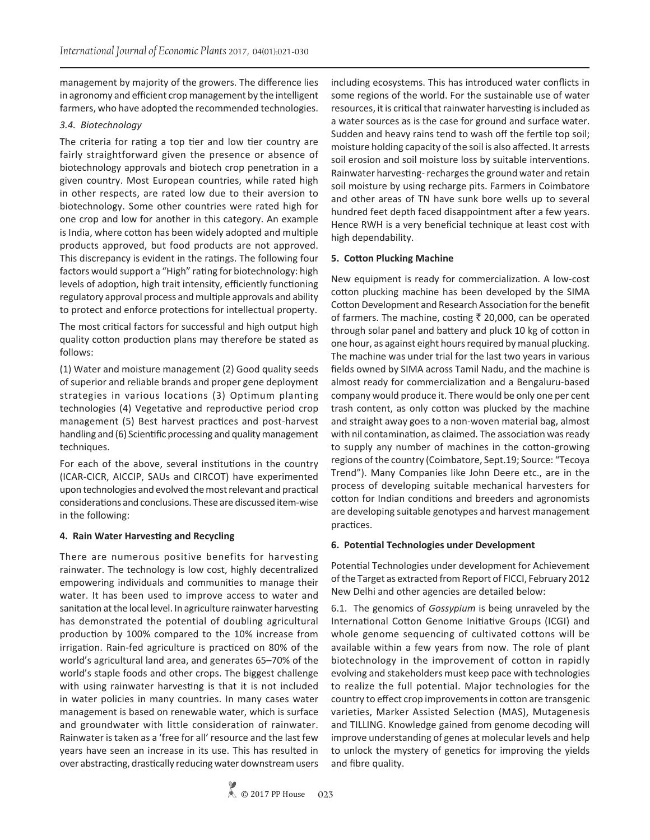management by majority of the growers. The difference lies in agronomy and efficient crop management by the intelligent farmers, who have adopted the recommended technologies.

# *3.4. Biotechnology*

The criteria for rating a top tier and low tier country are fairly straightforward given the presence or absence of biotechnology approvals and biotech crop penetration in a given country. Most European countries, while rated high in other respects, are rated low due to their aversion to biotechnology. Some other countries were rated high for one crop and low for another in this category. An example is India, where cotton has been widely adopted and multiple products approved, but food products are not approved. This discrepancy is evident in the ratings. The following four factors would support a "High" rating for biotechnology: high levels of adoption, high trait intensity, efficiently functioning regulatory approval process and multiple approvals and ability to protect and enforce protections for intellectual property.

The most critical factors for successful and high output high quality cotton production plans may therefore be stated as follows:

(1) Water and moisture management (2) Good quality seeds of superior and reliable brands and proper gene deployment strategies in various locations (3) Optimum planting technologies (4) Vegetative and reproductive period crop management (5) Best harvest practices and post-harvest handling and (6) Scientific processing and quality management techniques.

For each of the above, several institutions in the country (ICAR-CICR, AICCIP, SAUs and CIRCOT) have experimented upon technologies and evolved the most relevant and practical considerations and conclusions. These are discussed item-wise in the following:

# **4. Rain Water Harvesting and Recycling**

There are numerous positive benefits for harvesting rainwater. The technology is low cost, highly decentralized empowering individuals and communities to manage their water. It has been used to improve access to water and sanitation at the local level. In agriculture rainwater harvesting has demonstrated the potential of doubling agricultural production by 100% compared to the 10% increase from irrigation. Rain-fed agriculture is practiced on 80% of the world's agricultural land area, and generates 65–70% of the world's staple foods and other crops. The biggest challenge with using rainwater harvesting is that it is not included in water policies in many countries. In many cases water management is based on renewable water, which is surface and groundwater with little consideration of rainwater. Rainwater is taken as a 'free for all' resource and the last few years have seen an increase in its use. This has resulted in over abstracting, drastically reducing water downstream users

including ecosystems. This has introduced water conflicts in some regions of the world. For the sustainable use of water resources, it is critical that rainwater harvesting is included as a water sources as is the case for ground and surface water. Sudden and heavy rains tend to wash off the fertile top soil; moisture holding capacity of the soil is also affected. It arrests soil erosion and soil moisture loss by suitable interventions. Rainwater harvesting- recharges the ground water and retain soil moisture by using recharge pits. Farmers in Coimbatore and other areas of TN have sunk bore wells up to several hundred feet depth faced disappointment after a few years. Hence RWH is a very beneficial technique at least cost with high dependability.

# **5. Cotton Plucking Machine**

New equipment is ready for commercialization. A low-cost cotton plucking machine has been developed by the SIMA Cotton Development and Research Association for the benefit of farmers. The machine, costing  $\bar{\tau}$  20,000, can be operated through solar panel and battery and pluck 10 kg of cotton in one hour, as against eight hours required by manual plucking. The machine was under trial for the last two years in various fields owned by SIMA across Tamil Nadu, and the machine is almost ready for commercialization and a Bengaluru-based company would produce it. There would be only one per cent trash content, as only cotton was plucked by the machine and straight away goes to a non-woven material bag, almost with nil contamination, as claimed. The association was ready to supply any number of machines in the cotton-growing regions of the country (Coimbatore, Sept.19; Source: "Tecoya Trend"). Many Companies like John Deere etc., are in the process of developing suitable mechanical harvesters for cotton for Indian conditions and breeders and agronomists are developing suitable genotypes and harvest management practices.

# **6. Potential Technologies under Development**

Potential Technologies under development for Achievement of the Target as extracted from Report of FICCI, February 2012 New Delhi and other agencies are detailed below:

6.1. The genomics of *Gossypium* is being unraveled by the International Cotton Genome Initiative Groups (ICGI) and whole genome sequencing of cultivated cottons will be available within a few years from now. The role of plant biotechnology in the improvement of cotton in rapidly evolving and stakeholders must keep pace with technologies to realize the full potential. Major technologies for the country to effect crop improvements in cotton are transgenic varieties, Marker Assisted Selection (MAS), Mutagenesis and TILLING. Knowledge gained from genome decoding will improve understanding of genes at molecular levels and help to unlock the mystery of genetics for improving the yields and fibre quality.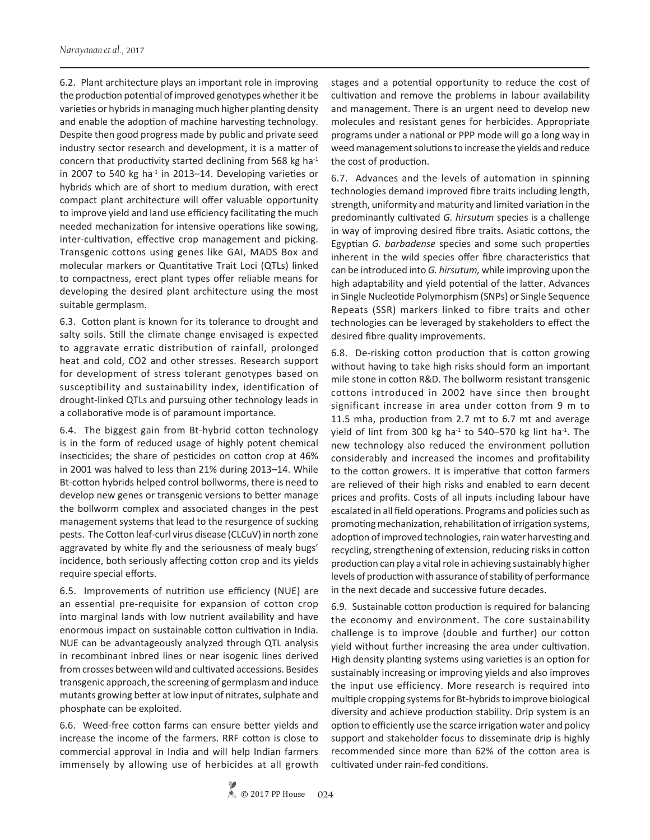6.2. Plant architecture plays an important role in improving the production potential of improved genotypes whether it be varieties or hybrids in managing much higher planting density and enable the adoption of machine harvesting technology. Despite then good progress made by public and private seed industry sector research and development, it is a matter of concern that productivity started declining from 568 kg ha-1 in 2007 to 540 kg ha $^{-1}$  in 2013–14. Developing varieties or hybrids which are of short to medium duration, with erect compact plant architecture will offer valuable opportunity to improve yield and land use efficiency facilitating the much needed mechanization for intensive operations like sowing, inter-cultivation, effective crop management and picking. Transgenic cottons using genes like GAI, MADS Box and molecular markers or Quantitative Trait Loci (QTLs) linked to compactness, erect plant types offer reliable means for developing the desired plant architecture using the most suitable germplasm.

6.3. Cotton plant is known for its tolerance to drought and salty soils. Still the climate change envisaged is expected to aggravate erratic distribution of rainfall, prolonged heat and cold, CO2 and other stresses. Research support for development of stress tolerant genotypes based on susceptibility and sustainability index, identification of drought-linked QTLs and pursuing other technology leads in a collaborative mode is of paramount importance.

6.4. The biggest gain from Bt-hybrid cotton technology is in the form of reduced usage of highly potent chemical insecticides; the share of pesticides on cotton crop at 46% in 2001 was halved to less than 21% during 2013–14. While Bt-cotton hybrids helped control bollworms, there is need to develop new genes or transgenic versions to better manage the bollworm complex and associated changes in the pest management systems that lead to the resurgence of sucking pests. The Cotton leaf-curl virus disease (CLCuV) in north zone aggravated by white fly and the seriousness of mealy bugs' incidence, both seriously affecting cotton crop and its yields require special efforts.

6.5. Improvements of nutrition use efficiency (NUE) are an essential pre-requisite for expansion of cotton crop into marginal lands with low nutrient availability and have enormous impact on sustainable cotton cultivation in India. NUE can be advantageously analyzed through QTL analysis in recombinant inbred lines or near isogenic lines derived from crosses between wild and cultivated accessions. Besides transgenic approach, the screening of germplasm and induce mutants growing better at low input of nitrates, sulphate and phosphate can be exploited.

6.6. Weed-free cotton farms can ensure better yields and increase the income of the farmers. RRF cotton is close to commercial approval in India and will help Indian farmers immensely by allowing use of herbicides at all growth stages and a potential opportunity to reduce the cost of cultivation and remove the problems in labour availability and management. There is an urgent need to develop new molecules and resistant genes for herbicides. Appropriate programs under a national or PPP mode will go a long way in weed management solutions to increase the yields and reduce the cost of production.

6.7. Advances and the levels of automation in spinning technologies demand improved fibre traits including length, strength, uniformity and maturity and limited variation in the predominantly cultivated *G. hirsutum* species is a challenge in way of improving desired fibre traits. Asiatic cottons, the Egyptian *G. barbadense* species and some such properties inherent in the wild species offer fibre characteristics that can be introduced into *G. hirsutum,* while improving upon the high adaptability and yield potential of the latter. Advances in Single Nucleotide Polymorphism (SNPs) or Single Sequence Repeats (SSR) markers linked to fibre traits and other technologies can be leveraged by stakeholders to effect the desired fibre quality improvements.

6.8. De-risking cotton production that is cotton growing without having to take high risks should form an important mile stone in cotton R&D. The bollworm resistant transgenic cottons introduced in 2002 have since then brought significant increase in area under cotton from 9 m to 11.5 mha, production from 2.7 mt to 6.7 mt and average yield of lint from 300 kg ha<sup>-1</sup> to 540–570 kg lint ha<sup>-1</sup>. The new technology also reduced the environment pollution considerably and increased the incomes and profitability to the cotton growers. It is imperative that cotton farmers are relieved of their high risks and enabled to earn decent prices and profits. Costs of all inputs including labour have escalated in all field operations. Programs and policies such as promoting mechanization, rehabilitation of irrigation systems, adoption of improved technologies, rain water harvesting and recycling, strengthening of extension, reducing risks in cotton production can play a vital role in achieving sustainably higher levels of production with assurance of stability of performance in the next decade and successive future decades.

6.9. Sustainable cotton production is required for balancing the economy and environment. The core sustainability challenge is to improve (double and further) our cotton yield without further increasing the area under cultivation. High density planting systems using varieties is an option for sustainably increasing or improving yields and also improves the input use efficiency. More research is required into multiple cropping systems for Bt-hybrids to improve biological diversity and achieve production stability. Drip system is an option to efficiently use the scarce irrigation water and policy support and stakeholder focus to disseminate drip is highly recommended since more than 62% of the cotton area is cultivated under rain-fed conditions.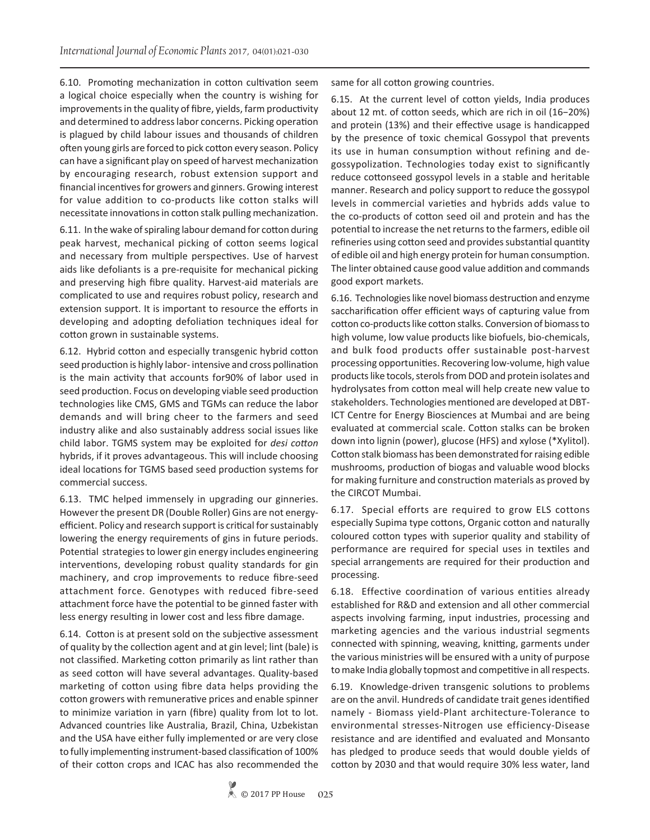6.10. Promoting mechanization in cotton cultivation seem a logical choice especially when the country is wishing for improvements in the quality of fibre, yields, farm productivity and determined to address labor concerns. Picking operation is plagued by child labour issues and thousands of children often young girls are forced to pick cotton every season. Policy can have a significant play on speed of harvest mechanization by encouraging research, robust extension support and financial incentives for growers and ginners. Growing interest for value addition to co-products like cotton stalks will necessitate innovations in cotton stalk pulling mechanization.

6.11. In the wake of spiraling labour demand for cotton during peak harvest, mechanical picking of cotton seems logical and necessary from multiple perspectives. Use of harvest aids like defoliants is a pre-requisite for mechanical picking and preserving high fibre quality. Harvest-aid materials are complicated to use and requires robust policy, research and extension support. It is important to resource the efforts in developing and adopting defoliation techniques ideal for cotton grown in sustainable systems.

6.12. Hybrid cotton and especially transgenic hybrid cotton seed production is highly labor- intensive and cross pollination is the main activity that accounts for90% of labor used in seed production. Focus on developing viable seed production technologies like CMS, GMS and TGMs can reduce the labor demands and will bring cheer to the farmers and seed industry alike and also sustainably address social issues like child labor. TGMS system may be exploited for *desi cotton* hybrids, if it proves advantageous. This will include choosing ideal locations for TGMS based seed production systems for commercial success.

6.13. TMC helped immensely in upgrading our ginneries. However the present DR (Double Roller) Gins are not energyefficient. Policy and research support is critical for sustainably lowering the energy requirements of gins in future periods. Potential strategies to lower gin energy includes engineering interventions, developing robust quality standards for gin machinery, and crop improvements to reduce fibre-seed attachment force. Genotypes with reduced fibre-seed attachment force have the potential to be ginned faster with less energy resulting in lower cost and less fibre damage.

6.14. Cotton is at present sold on the subjective assessment of quality by the collection agent and at gin level; lint (bale) is not classified. Marketing cotton primarily as lint rather than as seed cotton will have several advantages. Quality-based marketing of cotton using fibre data helps providing the cotton growers with remunerative prices and enable spinner to minimize variation in yarn (fibre) quality from lot to lot. Advanced countries like Australia, Brazil, China, Uzbekistan and the USA have either fully implemented or are very close to fully implementing instrument-based classification of 100% of their cotton crops and ICAC has also recommended the

same for all cotton growing countries.

6.15. At the current level of cotton yields, India produces about 12 mt. of cotton seeds, which are rich in oil (16−20%) and protein (13%) and their effective usage is handicapped by the presence of toxic chemical Gossypol that prevents its use in human consumption without refining and degossypolization. Technologies today exist to significantly reduce cottonseed gossypol levels in a stable and heritable manner. Research and policy support to reduce the gossypol levels in commercial varieties and hybrids adds value to the co-products of cotton seed oil and protein and has the potential to increase the net returns to the farmers, edible oil refineries using cotton seed and provides substantial quantity of edible oil and high energy protein for human consumption. The linter obtained cause good value addition and commands good export markets.

6.16. Technologies like novel biomass destruction and enzyme saccharification offer efficient ways of capturing value from cotton co-products like cotton stalks. Conversion of biomass to high volume, low value products like biofuels, bio-chemicals, and bulk food products offer sustainable post-harvest processing opportunities. Recovering low-volume, high value products like tocols, sterols from DOD and protein isolates and hydrolysates from cotton meal will help create new value to stakeholders. Technologies mentioned are developed at DBT-ICT Centre for Energy Biosciences at Mumbai and are being evaluated at commercial scale. Cotton stalks can be broken down into lignin (power), glucose (HFS) and xylose (\*Xylitol). Cotton stalk biomass has been demonstrated for raising edible mushrooms, production of biogas and valuable wood blocks for making furniture and construction materials as proved by the CIRCOT Mumbai.

6.17. Special efforts are required to grow ELS cottons especially Supima type cottons, Organic cotton and naturally coloured cotton types with superior quality and stability of performance are required for special uses in textiles and special arrangements are required for their production and processing.

6.18. Effective coordination of various entities already established for R&D and extension and all other commercial aspects involving farming, input industries, processing and marketing agencies and the various industrial segments connected with spinning, weaving, knitting, garments under the various ministries will be ensured with a unity of purpose to make India globally topmost and competitive in all respects.

6.19. Knowledge-driven transgenic solutions to problems are on the anvil. Hundreds of candidate trait genes identified namely - Biomass yield-Plant architecture-Tolerance to environmental stresses-Nitrogen use efficiency-Disease resistance and are identified and evaluated and Monsanto has pledged to produce seeds that would double yields of cotton by 2030 and that would require 30% less water, land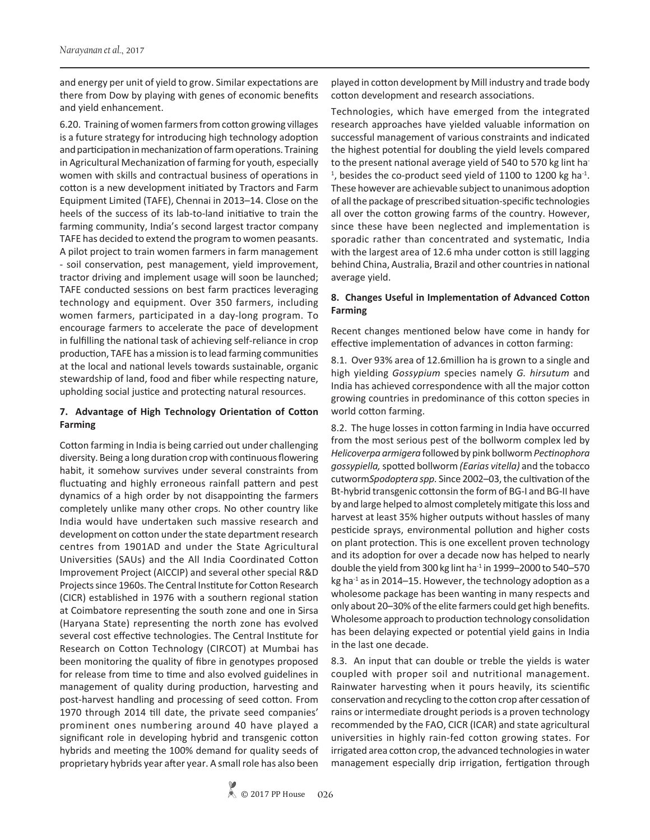and energy per unit of yield to grow. Similar expectations are there from Dow by playing with genes of economic benefits and yield enhancement.

6.20. Training of women farmers from cotton growing villages is a future strategy for introducing high technology adoption and participation in mechanization of farm operations. Training in Agricultural Mechanization of farming for youth, especially women with skills and contractual business of operations in cotton is a new development initiated by Tractors and Farm Equipment Limited (TAFE), Chennai in 2013–14. Close on the heels of the success of its lab-to-land initiative to train the farming community, India's second largest tractor company TAFE has decided to extend the program to women peasants. A pilot project to train women farmers in farm management - soil conservation, pest management, yield improvement, tractor driving and implement usage will soon be launched; TAFE conducted sessions on best farm practices leveraging technology and equipment. Over 350 farmers, including women farmers, participated in a day-long program. To encourage farmers to accelerate the pace of development in fulfilling the national task of achieving self-reliance in crop production, TAFE has a mission is to lead farming communities at the local and national levels towards sustainable, organic stewardship of land, food and fiber while respecting nature, upholding social justice and protecting natural resources.

# **7. Advantage of High Technology Orientation of Cotton Farming**

Cotton farming in India is being carried out under challenging diversity. Being a long duration crop with continuous flowering habit, it somehow survives under several constraints from fluctuating and highly erroneous rainfall pattern and pest dynamics of a high order by not disappointing the farmers completely unlike many other crops. No other country like India would have undertaken such massive research and development on cotton under the state department research centres from 1901AD and under the State Agricultural Universities (SAUs) and the All India Coordinated Cotton Improvement Project (AICCIP) and several other special R&D Projects since 1960s. The Central Institute for Cotton Research (CICR) established in 1976 with a southern regional station at Coimbatore representing the south zone and one in Sirsa (Haryana State) representing the north zone has evolved several cost effective technologies. The Central Institute for Research on Cotton Technology (CIRCOT) at Mumbai has been monitoring the quality of fibre in genotypes proposed for release from time to time and also evolved guidelines in management of quality during production, harvesting and post-harvest handling and processing of seed cotton. From 1970 through 2014 till date, the private seed companies' prominent ones numbering around 40 have played a significant role in developing hybrid and transgenic cotton hybrids and meeting the 100% demand for quality seeds of proprietary hybrids year after year. A small role has also been

played in cotton development by Mill industry and trade body cotton development and research associations.

Technologies, which have emerged from the integrated research approaches have yielded valuable information on successful management of various constraints and indicated the highest potential for doubling the yield levels compared to the present national average yield of 540 to 570 kg lint ha- $1$ , besides the co-product seed yield of 1100 to 1200 kg ha $1$ . These however are achievable subject to unanimous adoption of all the package of prescribed situation-specific technologies all over the cotton growing farms of the country. However, since these have been neglected and implementation is sporadic rather than concentrated and systematic, India with the largest area of 12.6 mha under cotton is still lagging behind China, Australia, Brazil and other countries in national average yield.

# **8. Changes Useful in Implementation of Advanced Cotton Farming**

Recent changes mentioned below have come in handy for effective implementation of advances in cotton farming:

8.1. Over 93% area of 12.6million ha is grown to a single and high yielding *Gossypium* species namely *G. hirsutum* and India has achieved correspondence with all the major cotton growing countries in predominance of this cotton species in world cotton farming.

8.2. The huge losses in cotton farming in India have occurred from the most serious pest of the bollworm complex led by *Helicoverpa armigera* followed by pink bollworm *Pectinophora gossypiella,* spotted bollworm *(Earias vitella)* and the tobacco cutworm*Spodoptera spp.* Since 2002–03, the cultivation of the Bt-hybrid transgenic cottonsin the form of BG-I and BG-II have by and large helped to almost completely mitigate this loss and harvest at least 35% higher outputs without hassles of many pesticide sprays, environmental pollution and higher costs on plant protection. This is one excellent proven technology and its adoption for over a decade now has helped to nearly double the yield from 300 kg lint ha $^{-1}$  in 1999–2000 to 540–570 kg ha $^{-1}$  as in 2014–15. However, the technology adoption as a wholesome package has been wanting in many respects and only about 20–30% of the elite farmers could get high benefits. Wholesome approach to production technology consolidation has been delaying expected or potential yield gains in India in the last one decade.

8.3. An input that can double or treble the yields is water coupled with proper soil and nutritional management. Rainwater harvesting when it pours heavily, its scientific conservation and recycling to the cotton crop after cessation of rains or intermediate drought periods is a proven technology recommended by the FAO, CICR (ICAR) and state agricultural universities in highly rain-fed cotton growing states. For irrigated area cotton crop, the advanced technologies in water management especially drip irrigation, fertigation through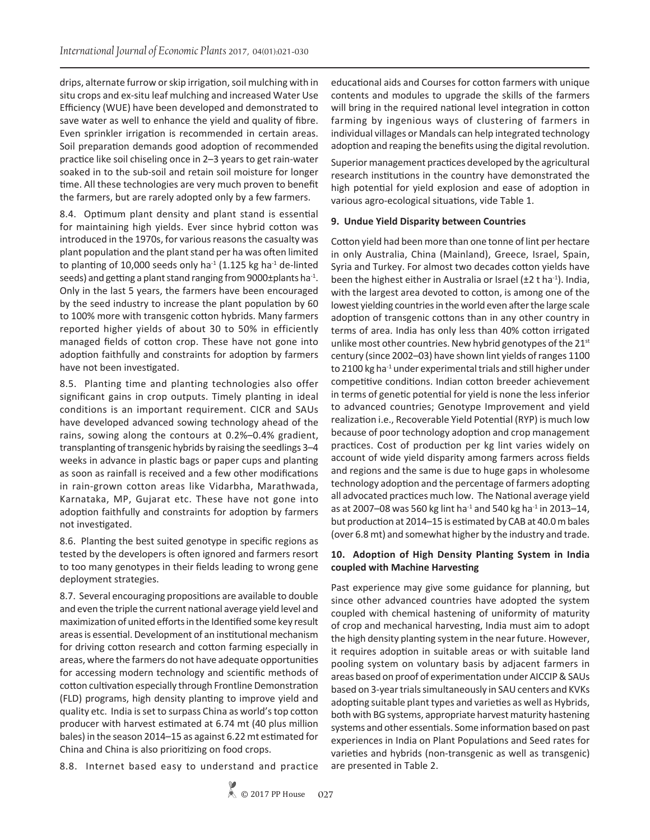drips, alternate furrow or skip irrigation, soil mulching with in situ crops and ex-situ leaf mulching and increased Water Use Efficiency (WUE) have been developed and demonstrated to save water as well to enhance the yield and quality of fibre. Even sprinkler irrigation is recommended in certain areas. Soil preparation demands good adoption of recommended practice like soil chiseling once in 2–3 years to get rain-water soaked in to the sub-soil and retain soil moisture for longer time. All these technologies are very much proven to benefit the farmers, but are rarely adopted only by a few farmers.

8.4. Optimum plant density and plant stand is essential for maintaining high yields. Ever since hybrid cotton was introduced in the 1970s, for various reasons the casualty was plant population and the plant stand per ha was often limited to planting of 10,000 seeds only ha<sup>-1</sup> (1.125 kg ha<sup>-1</sup> de-linted seeds) and getting a plant stand ranging from 9000±plants ha<sup>-1</sup>. Only in the last 5 years, the farmers have been encouraged by the seed industry to increase the plant population by 60 to 100% more with transgenic cotton hybrids. Many farmers reported higher yields of about 30 to 50% in efficiently managed fields of cotton crop. These have not gone into adoption faithfully and constraints for adoption by farmers have not been investigated.

8.5. Planting time and planting technologies also offer significant gains in crop outputs. Timely planting in ideal conditions is an important requirement. CICR and SAUs have developed advanced sowing technology ahead of the rains, sowing along the contours at 0.2%–0.4% gradient, transplanting of transgenic hybrids by raising the seedlings 3–4 weeks in advance in plastic bags or paper cups and planting as soon as rainfall is received and a few other modifications in rain-grown cotton areas like Vidarbha, Marathwada, Karnataka, MP, Gujarat etc. These have not gone into adoption faithfully and constraints for adoption by farmers not investigated.

8.6. Planting the best suited genotype in specific regions as tested by the developers is often ignored and farmers resort to too many genotypes in their fields leading to wrong gene deployment strategies.

8.7. Several encouraging propositions are available to double and even the triple the current national average yield level and maximization of united efforts in the Identified some key result areas is essential. Development of an institutional mechanism for driving cotton research and cotton farming especially in areas, where the farmers do not have adequate opportunities for accessing modern technology and scientific methods of cotton cultivation especially through Frontline Demonstration (FLD) programs, high density planting to improve yield and quality etc. India is set to surpass China as world's top cotton producer with harvest estimated at 6.74 mt (40 plus million bales) in the season 2014–15 as against 6.22 mt estimated for China and China is also prioritizing on food crops.

8.8. Internet based easy to understand and practice

educational aids and Courses for cotton farmers with unique contents and modules to upgrade the skills of the farmers will bring in the required national level integration in cotton farming by ingenious ways of clustering of farmers in individual villages or Mandals can help integrated technology adoption and reaping the benefits using the digital revolution.

Superior management practices developed by the agricultural research institutions in the country have demonstrated the high potential for yield explosion and ease of adoption in various agro-ecological situations, vide Table 1.

#### **9. Undue Yield Disparity between Countries**

Cotton yield had been more than one tonne of lint per hectare in only Australia, China (Mainland), Greece, Israel, Spain, Syria and Turkey. For almost two decades cotton yields have been the highest either in Australia or Israel ( $\pm 2$  t ha<sup>-1</sup>). India, with the largest area devoted to cotton, is among one of the lowest yielding countries in the world even after the large scale adoption of transgenic cottons than in any other country in terms of area. India has only less than 40% cotton irrigated unlike most other countries. New hybrid genotypes of the 21st century (since 2002–03) have shown lint yields of ranges 1100 to 2100 kg ha<sup>-1</sup> under experimental trials and still higher under competitive conditions. Indian cotton breeder achievement in terms of genetic potential for yield is none the less inferior to advanced countries; Genotype Improvement and yield realization i.e., Recoverable Yield Potential (RYP) is much low because of poor technology adoption and crop management practices. Cost of production per kg lint varies widely on account of wide yield disparity among farmers across fields and regions and the same is due to huge gaps in wholesome technology adoption and the percentage of farmers adopting all advocated practices much low. The National average yield as at 2007–08 was 560 kg lint ha<sup>-1</sup> and 540 kg ha<sup>-1</sup> in 2013–14, but production at 2014–15 is estimated by CAB at 40.0 m bales (over 6.8 mt) and somewhat higher by the industry and trade.

### **10. Adoption of High Density Planting System in India coupled with Machine Harvesting**

Past experience may give some guidance for planning, but since other advanced countries have adopted the system coupled with chemical hastening of uniformity of maturity of crop and mechanical harvesting, India must aim to adopt the high density planting system in the near future. However, it requires adoption in suitable areas or with suitable land pooling system on voluntary basis by adjacent farmers in areas based on proof of experimentation under AICCIP & SAUs based on 3-year trials simultaneously in SAU centers and KVKs adopting suitable plant types and varieties as well as Hybrids, both with BG systems, appropriate harvest maturity hastening systems and other essentials. Some information based on past experiences in India on Plant Populations and Seed rates for varieties and hybrids (non-transgenic as well as transgenic) are presented in Table 2.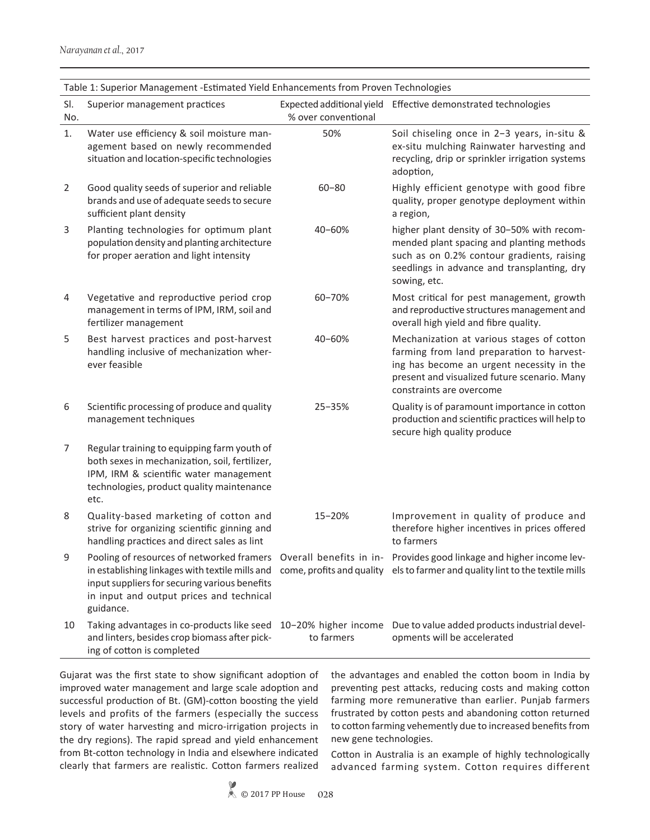| Table 1: Superior Management -Estimated Yield Enhancements from Proven Technologies |                                                                                                                                                                                              |                     |                                                                                                                                                                                                                                                 |
|-------------------------------------------------------------------------------------|----------------------------------------------------------------------------------------------------------------------------------------------------------------------------------------------|---------------------|-------------------------------------------------------------------------------------------------------------------------------------------------------------------------------------------------------------------------------------------------|
| SI.<br>No.                                                                          | Superior management practices                                                                                                                                                                | % over conventional | Expected additional yield Effective demonstrated technologies                                                                                                                                                                                   |
| 1.                                                                                  | Water use efficiency & soil moisture man-<br>agement based on newly recommended<br>situation and location-specific technologies                                                              | 50%                 | Soil chiseling once in 2-3 years, in-situ &<br>ex-situ mulching Rainwater harvesting and<br>recycling, drip or sprinkler irrigation systems<br>adoption,                                                                                        |
| 2                                                                                   | Good quality seeds of superior and reliable<br>brands and use of adequate seeds to secure<br>sufficient plant density                                                                        | $60 - 80$           | Highly efficient genotype with good fibre<br>quality, proper genotype deployment within<br>a region,                                                                                                                                            |
| 3                                                                                   | Planting technologies for optimum plant<br>population density and planting architecture<br>for proper aeration and light intensity                                                           | 40-60%              | higher plant density of 30-50% with recom-<br>mended plant spacing and planting methods<br>such as on 0.2% contour gradients, raising<br>seedlings in advance and transplanting, dry<br>sowing, etc.                                            |
| 4                                                                                   | Vegetative and reproductive period crop<br>management in terms of IPM, IRM, soil and<br>fertilizer management                                                                                | 60-70%              | Most critical for pest management, growth<br>and reproductive structures management and<br>overall high yield and fibre quality.                                                                                                                |
| 5                                                                                   | Best harvest practices and post-harvest<br>handling inclusive of mechanization wher-<br>ever feasible                                                                                        | 40-60%              | Mechanization at various stages of cotton<br>farming from land preparation to harvest-<br>ing has become an urgent necessity in the<br>present and visualized future scenario. Many<br>constraints are overcome                                 |
| 6                                                                                   | Scientific processing of produce and quality<br>management techniques                                                                                                                        | 25-35%              | Quality is of paramount importance in cotton<br>production and scientific practices will help to<br>secure high quality produce                                                                                                                 |
| $\overline{7}$                                                                      | Regular training to equipping farm youth of<br>both sexes in mechanization, soil, fertilizer,<br>IPM, IRM & scientific water management<br>technologies, product quality maintenance<br>etc. |                     |                                                                                                                                                                                                                                                 |
| 8                                                                                   | Quality-based marketing of cotton and<br>strive for organizing scientific ginning and<br>handling practices and direct sales as lint                                                         | 15-20%              | Improvement in quality of produce and<br>therefore higher incentives in prices offered<br>to farmers                                                                                                                                            |
| 9                                                                                   | input suppliers for securing various benefits<br>in input and output prices and technical<br>guidance.                                                                                       |                     | Pooling of resources of networked framers Overall benefits in in- Provides good linkage and higher income lev-<br>in establishing linkages with textile mills and come, profits and quality els to farmer and quality lint to the textile mills |
| 10                                                                                  | and linters, besides crop biomass after pick-<br>ing of cotton is completed                                                                                                                  | to farmers          | Taking advantages in co-products like seed 10-20% higher income Due to value added products industrial devel-<br>opments will be accelerated                                                                                                    |

Table 1: Superior Management -Estimated Yield Enhancements from Proven Technologies

Gujarat was the first state to show significant adoption of improved water management and large scale adoption and successful production of Bt. (GM)-cotton boosting the yield levels and profits of the farmers (especially the success story of water harvesting and micro-irrigation projects in the dry regions). The rapid spread and yield enhancement from Bt-cotton technology in India and elsewhere indicated clearly that farmers are realistic. Cotton farmers realized

the advantages and enabled the cotton boom in India by preventing pest attacks, reducing costs and making cotton farming more remunerative than earlier. Punjab farmers frustrated by cotton pests and abandoning cotton returned to cotton farming vehemently due to increased benefits from new gene technologies.

Cotton in Australia is an example of highly technologically advanced farming system. Cotton requires different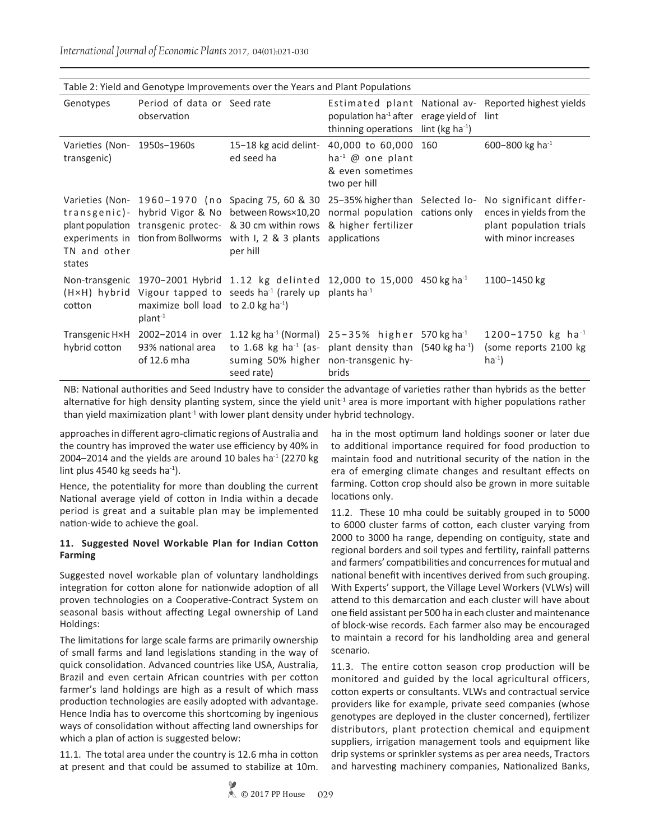Table 2: Yield and Genotype Improvements over the Years and Plant Populations Genotypes Period of data or Seed rate observation Seed rate **Estimated plant National av-** Reported highest yields population ha-1 after thinning operations erage yield of lint lint ( $kg$  ha $^{-1}$ ) Varieties (Non- 1950s-1960s transgenic) 15−18 kg acid delinted seed ha 40,000 to 60,000 ha-1 @ one plant & even sometimes two per hill 600-800 kg ha<sup>-1</sup> Varieties (Non- 1960-1970 (no Spacing 75, 60 & 30 25-35% higher than Selected lo- No significant differtransgenic)- hybrid Vigor & No between Rows×10,20 normal population cations only plant population transgenic protec-& 30 cm within rows & higher fertilizer experiments in tion from Bollworms with I, 2 & 3 plants applications TN and other states per hill ences in yields from the plant population trials with minor increases Non-transgenic 1970−2001 Hybrid 1.12 kg delinted 12,000 to 15,000  $(H \times H)$  hybrid Vigour tapped to seeds ha<sup>-1</sup> (rarely up plants ha<sup>-1</sup> cotton maximize boll load to 2.0 kg ha<sup>-1</sup>) plant-1 1100-1450 kg Transgenic H×H 2002-2014 in over 1.12 kg ha<sup>-1</sup> (Normal) 25-35% higher 570 kg ha<sup>-1</sup> hybrid cotton 93% national area of 12.6 mha to 1.68 kg ha<sup>-1</sup> (as- plant density than  $(540 \text{ kg ha}^{-1})$ suming 50% higher non-transgenic hyseed rate) brids 1200−1750 kg ha-1 (some reports 2100 kg  $ha^{-1}$ )

*International Journal of Economic Plants* 2017, 04(01):021-030

NB: National authorities and Seed Industry have to consider the advantage of varieties rather than hybrids as the better alternative for high density planting system, since the yield unit<sup>1</sup> area is more important with higher populations rather than yield maximization plant<sup>-1</sup> with lower plant density under hybrid technology.

approaches in different agro-climatic regions of Australia and the country has improved the water use efficiency by 40% in 2004–2014 and the yields are around 10 bales ha $^{-1}$  (2270 kg) lint plus 4540 kg seeds ha<sup>-1</sup>).

Hence, the potentiality for more than doubling the current National average yield of cotton in India within a decade period is great and a suitable plan may be implemented nation-wide to achieve the goal.

### **11. Suggested Novel Workable Plan for Indian Cotton Farming**

Suggested novel workable plan of voluntary landholdings integration for cotton alone for nationwide adoption of all proven technologies on a Cooperative-Contract System on seasonal basis without affecting Legal ownership of Land Holdings:

The limitations for large scale farms are primarily ownership of small farms and land legislations standing in the way of quick consolidation. Advanced countries like USA, Australia, Brazil and even certain African countries with per cotton farmer's land holdings are high as a result of which mass production technologies are easily adopted with advantage. Hence India has to overcome this shortcoming by ingenious ways of consolidation without affecting land ownerships for which a plan of action is suggested below:

11.1. The total area under the country is 12.6 mha in cotton at present and that could be assumed to stabilize at 10m.

ha in the most optimum land holdings sooner or later due to additional importance required for food production to maintain food and nutritional security of the nation in the era of emerging climate changes and resultant effects on farming. Cotton crop should also be grown in more suitable locations only.

11.2. These 10 mha could be suitably grouped in to 5000 to 6000 cluster farms of cotton, each cluster varying from 2000 to 3000 ha range, depending on contiguity, state and regional borders and soil types and fertility, rainfall patterns and farmers' compatibilities and concurrences for mutual and national benefit with incentives derived from such grouping. With Experts' support, the Village Level Workers (VLWs) will attend to this demarcation and each cluster will have about one field assistant per 500 ha in each cluster and maintenance of block-wise records. Each farmer also may be encouraged to maintain a record for his landholding area and general scenario.

11.3. The entire cotton season crop production will be monitored and guided by the local agricultural officers, cotton experts or consultants. VLWs and contractual service providers like for example, private seed companies (whose genotypes are deployed in the cluster concerned), fertilizer distributors, plant protection chemical and equipment suppliers, irrigation management tools and equipment like drip systems or sprinkler systems as per area needs, Tractors and harvesting machinery companies, Nationalized Banks,